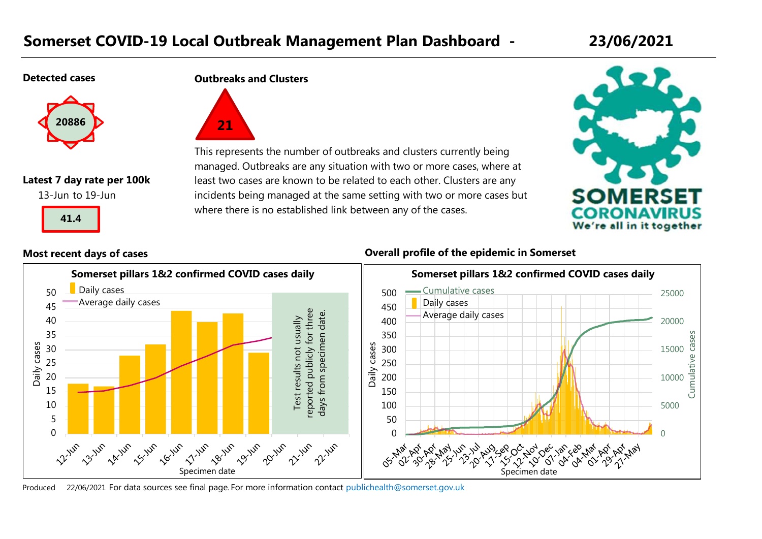# **Somerset COVID-19 Local Outbreak Management Plan Dashboard - 23/06/2021**

#### **Detected cases**



#### **Latest 7 day rate per 100k**

13-Jun to 19-Jun



#### **Outbreaks and Clusters**



This represents the number of outbreaks and clusters currently being managed. Outbreaks are any situation with two or more cases, where at least two cases are known to be related to each other. Clusters are any incidents being managed at the same setting with two or more cases but where there is no established link between any of the cases.



#### **Most recent days of cases Overall profile of the epidemic in Somerset**

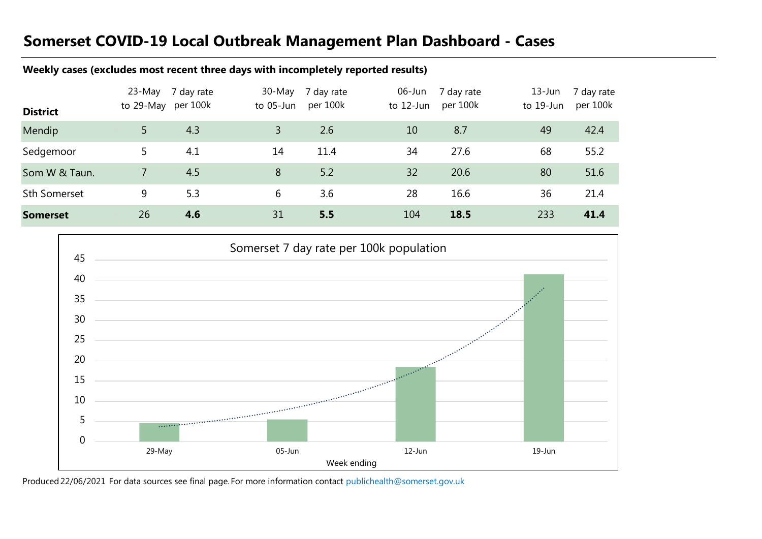# **Somerset COVID-19 Local Outbreak Management Plan Dashboard - Cases**

### **Weekly cases (excludes most recent three days with incompletely reported results)**

| <b>District</b>     | 23-May<br>to 29-May per 100k | 7 day rate | 30-May<br>to 05-Jun | 7 day rate<br>per 100k | $06$ -Jun<br>to 12-Jun | 7 day rate<br>per 100k | $13 - Jun$<br>to 19-Jun | 7 day rate<br>per 100k |
|---------------------|------------------------------|------------|---------------------|------------------------|------------------------|------------------------|-------------------------|------------------------|
| Mendip              |                              | 4.3        | 3                   | 2.6                    | 10                     | 8.7                    | 49                      | 42.4                   |
| Sedgemoor           |                              | 4.1        | 14                  | 11.4                   | 34                     | 27.6                   | 68                      | 55.2                   |
| Som W & Taun.       |                              | 4.5        | 8                   | 5.2                    | 32                     | 20.6                   | 80                      | 51.6                   |
| <b>Sth Somerset</b> | 9                            | 5.3        | 6                   | 3.6                    | 28                     | 16.6                   | 36                      | 21.4                   |
| <b>Somerset</b>     | 26                           | 4.6        | 31                  | 5.5                    | 104                    | 18.5                   | 233                     | 41.4                   |

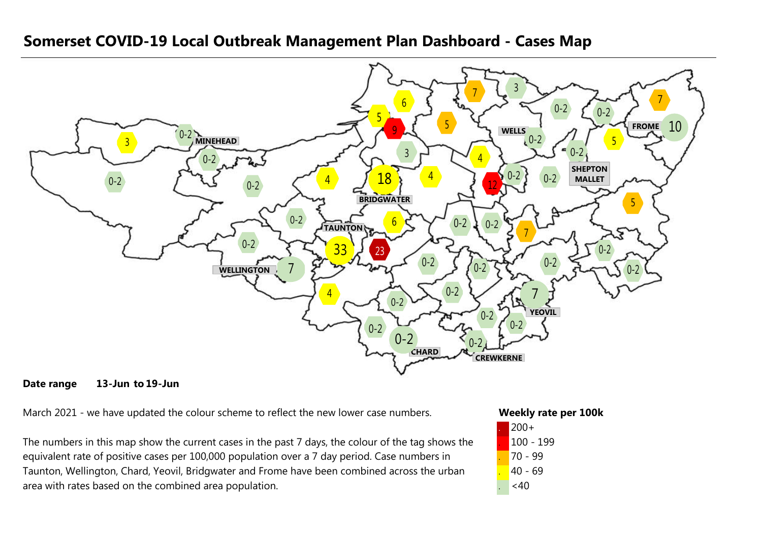

### **Somerset COVID-19 Local Outbreak Management Plan Dashboard - Cases Map**

#### **Date range 13-Jun 19-Jun**

March 2021 - we have updated the colour scheme to reflect the new lower case numbers.

The numbers in this map show the current cases in the past 7 days, the colour of the tag shows the equivalent rate of positive cases per 100,000 population over a 7 day period. Case numbers in Taunton, Wellington, Chard, Yeovil, Bridgwater and Frome have been combined across the urban area with rates based on the combined area population.

#### **Weekly rate per 100k**

| $200+$    |
|-----------|
| 100 - 199 |
| 70 - 99   |
| 40 - 69   |
| <40       |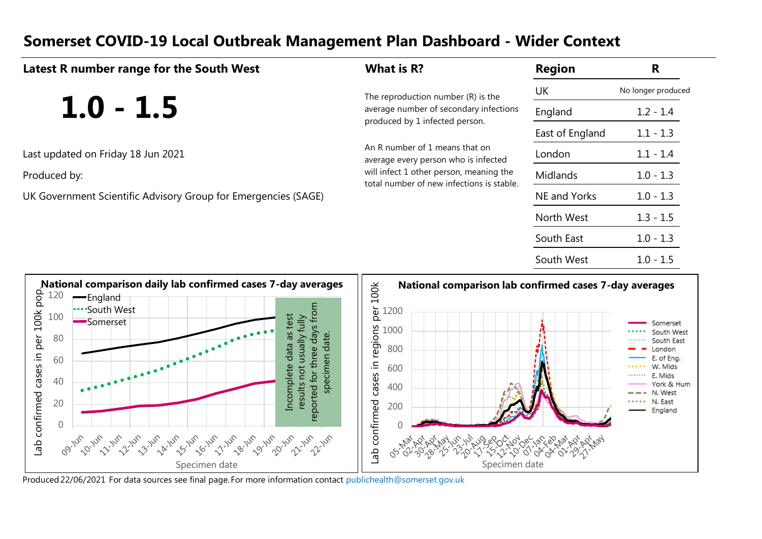# **Somerset COVID-19 Local Outbreak Management Plan Dashboard - Wider Context**

| Latest R number range for the South West                       | What is R?                                                                           | <b>Region</b>   | R                  |
|----------------------------------------------------------------|--------------------------------------------------------------------------------------|-----------------|--------------------|
|                                                                | The reproduction number (R) is the                                                   | UK              | No longer produced |
| $1.0 - 1.5$                                                    | average number of secondary infections<br>produced by 1 infected person.             | England         | $1.2 - 1.4$        |
|                                                                |                                                                                      | East of England | $1.1 - 1.3$        |
| Last updated on Friday 18 Jun 2021                             | An R number of 1 means that on<br>average every person who is infected               | London          | $1.1 - 1.4$        |
| Produced by:                                                   | will infect 1 other person, meaning the<br>total number of new infections is stable. | <b>Midlands</b> | $1.0 - 1.3$        |
| UK Government Scientific Advisory Group for Emergencies (SAGE) |                                                                                      | NE and Yorks    | $1.0 - 1.3$        |
|                                                                |                                                                                      | North West      | $1.3 - 1.5$        |
|                                                                |                                                                                      | South East      | $1.0 - 1.3$        |
|                                                                |                                                                                      | South West      | $1.0 - 1.5$        |
|                                                                |                                                                                      |                 |                    |

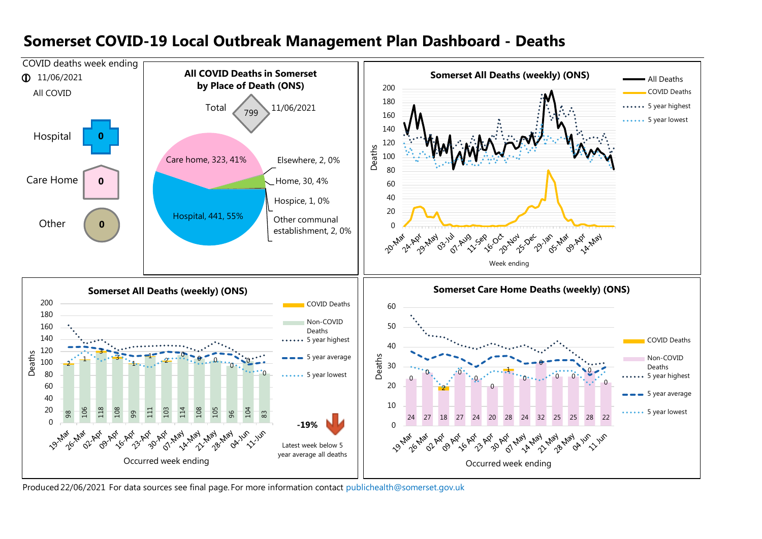

## **Somerset COVID-19 Local Outbreak Management Plan Dashboard - Deaths**

Produced22/06/2021 For data sources see final page. [For more information contact](mailto:publichealth@somerset.gov.uk) publichealth@somerset.gov.uk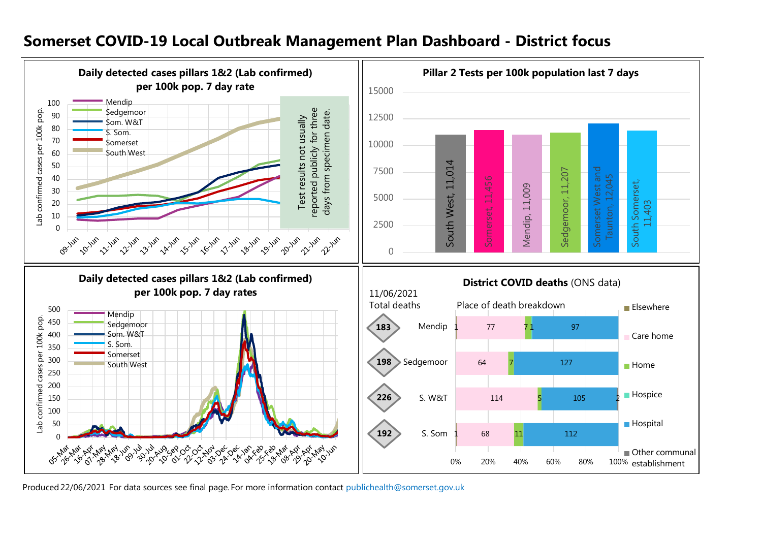#### **Daily detected cases pillars 1&2 (Lab confirmed) Pillar 2 Tests per 100k population last 7 days per 100k pop. 7 day rate** 15000 Mendip 100 reported publicly for three **Sedgemoor** reported publicly for three Lab confirmed cases per 100k pop. Lab confirmed cases per 100k pop. days from specimen date. days from specimen date.90 Test results not usually Test results not usually 12500 Som. W&T 80 S. Som. 70 Somerset 10000 60 South West 50 South West, 11,014 South West, 11,014 Somerset West and 7500 Sedgemoor, 11,207 Sedgemoor, 11,207 Somerset West and 40 Somerset, 11,456 Taunton, 12,045 Somerset, 11,456 South Somerset, South Somerset, Mendip, 11,009 30 Mendip, 11,009 5000 20 11,403 10 2500 0 **Marylan UP VIVA Un Bylun UP LA JUP Un Ly Jun UP TO JUP Un 11un Un Britis** un <sub>Loilun</sub> **UP 2014P** un 22 Jun **HO Jun** sp zivn  $\Omega$ **Daily detected cases pillars 1&2 (Lab confirmed) District COVID deaths (ONS data) per 100k pop. 7 day rates** 11/06/2021 Total deaths Place of death breakdown **Elsewhere** 500 Mendip pop. Lab confirmed cases per 100k pop. 450 Sedgemoor **183** Mendip 77 97 71 1 Som. W&T 400 Care home S. Som. 350 Somerset **198** 300 Sedgemoor 64 127 7 South West  $\blacksquare$  Home confirmed cases 250 200 **Hospice 226** 150 S. W&T 114 105 5 2 100 **Hospital** del 50 **192** S. Som 68 11 112 1 0 H. Other communal 0% 20% 40% 60% 80% 100% establishment

## **Somerset COVID-19 Local Outbreak Management Plan Dashboard - District focus**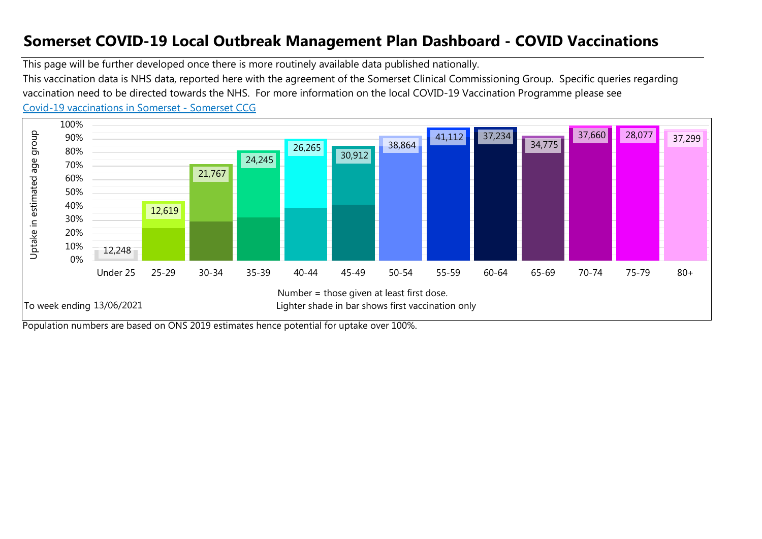# **Somerset COVID-19 Local Outbreak Management Plan Dashboard - COVID Vaccinations**

This page will be further developed once there is more routinely available data published nationally. [Co](https://www.somersetccg.nhs.uk/health/local-services/health-services-during-coronavirus/covid-19-vaccinations-in-somerset/)vid-19 vaccinations in Somerset - Somerset CCG This vaccination data is NHS data, reported here with the agreement of the Somerset Clinical Commissioning Group. Specific queries regarding vaccination need to be directed towards the NHS. For more information on the local COVID-19 Vaccination Programme please see



Population numbers are based on ONS 2019 estimates hence potential for uptake over 100%.